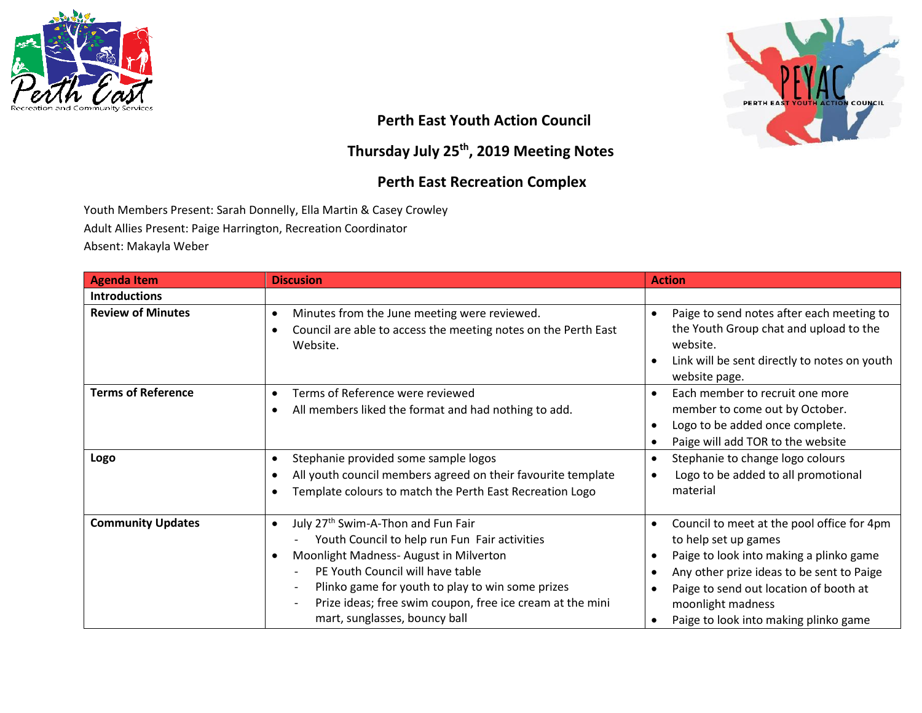



## **Perth East Youth Action Council**

## **Thursday July 25th , 2019 Meeting Notes**

## **Perth East Recreation Complex**

Youth Members Present: Sarah Donnelly, Ella Martin & Casey Crowley

Adult Allies Present: Paige Harrington, Recreation Coordinator

Absent: Makayla Weber

| <b>Agenda Item</b>        | <b>Discusion</b>                                                                                                                                                                                                                                                                                                                                                                                                  | <b>Action</b>                                                                                                                                                                                                                                                      |
|---------------------------|-------------------------------------------------------------------------------------------------------------------------------------------------------------------------------------------------------------------------------------------------------------------------------------------------------------------------------------------------------------------------------------------------------------------|--------------------------------------------------------------------------------------------------------------------------------------------------------------------------------------------------------------------------------------------------------------------|
| <b>Introductions</b>      |                                                                                                                                                                                                                                                                                                                                                                                                                   |                                                                                                                                                                                                                                                                    |
| <b>Review of Minutes</b>  | Minutes from the June meeting were reviewed.<br>$\bullet$<br>Council are able to access the meeting notes on the Perth East<br>$\bullet$<br>Website.                                                                                                                                                                                                                                                              | Paige to send notes after each meeting to<br>٠<br>the Youth Group chat and upload to the<br>website.<br>Link will be sent directly to notes on youth<br>website page.                                                                                              |
| <b>Terms of Reference</b> | Terms of Reference were reviewed<br>$\bullet$<br>All members liked the format and had nothing to add.<br>$\bullet$                                                                                                                                                                                                                                                                                                | Each member to recruit one more<br>member to come out by October.<br>Logo to be added once complete.<br>Paige will add TOR to the website                                                                                                                          |
| Logo                      | Stephanie provided some sample logos<br>$\bullet$<br>All youth council members agreed on their favourite template<br>$\bullet$<br>Template colours to match the Perth East Recreation Logo<br>$\bullet$                                                                                                                                                                                                           | Stephanie to change logo colours<br>Logo to be added to all promotional<br>material                                                                                                                                                                                |
| <b>Community Updates</b>  | July 27 <sup>th</sup> Swim-A-Thon and Fun Fair<br>$\bullet$<br>Youth Council to help run Fun Fair activities<br>Moonlight Madness- August in Milverton<br>$\bullet$<br>PE Youth Council will have table<br>Plinko game for youth to play to win some prizes<br>$\overline{\phantom{a}}$<br>Prize ideas; free swim coupon, free ice cream at the mini<br>$\overline{\phantom{a}}$<br>mart, sunglasses, bouncy ball | Council to meet at the pool office for 4pm<br>to help set up games<br>Paige to look into making a plinko game<br>Any other prize ideas to be sent to Paige<br>Paige to send out location of booth at<br>moonlight madness<br>Paige to look into making plinko game |